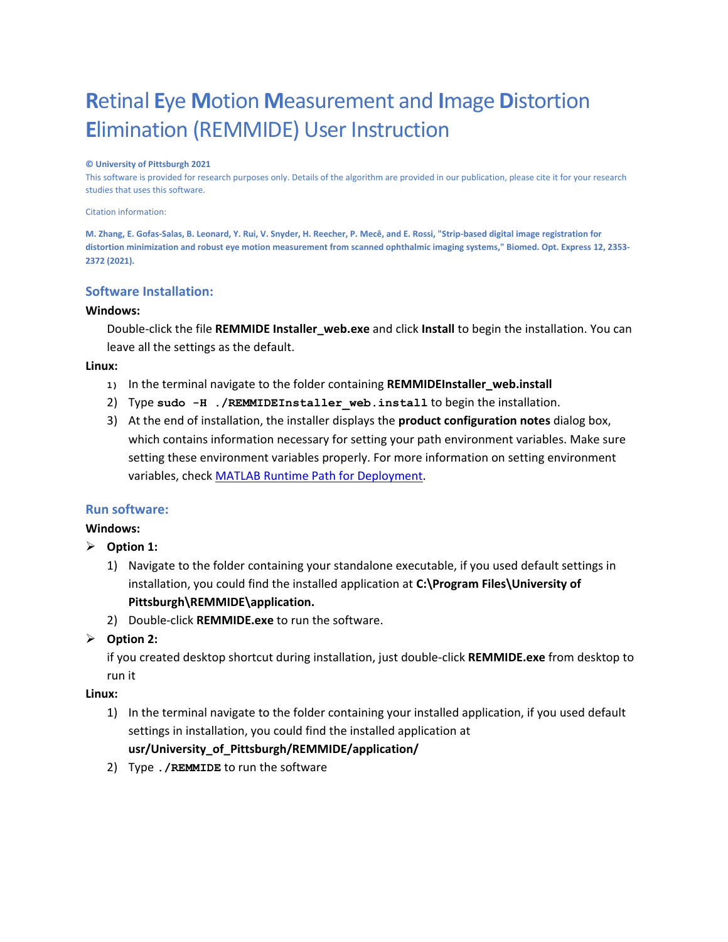# **R**etinal **E**ye **M**otion **M**easurement and **I**mage **D**istortion **E**limination (REMMIDE) User Instruction

#### **© University of Pittsburgh 2021**

This software is provided for research purposes only. Details of the algorithm are provided in our publication, please cite it for your research studies that uses this software.

#### Citation information:

**M. Zhang, E. Gofas-Salas, B. Leonard, Y. Rui, V. Snyder, H. Reecher, P. Mecê, and E. Rossi, "Strip-based digital image registration for distortion minimization and robust eye motion measurement from scanned ophthalmic imaging systems," Biomed. Opt. Express 12, 2353- 2372 (2021).**

### **Software Installation:**

#### **Windows:**

Double-click the file **REMMIDE Installer\_web.exe** and click **Install** to begin the installation. You can leave all the settings as the default.

### **Linux:**

- **1)** In the terminal navigate to the folder containing **REMMIDEInstaller\_web.install**
- 2) Type **sudo -H ./REMMIDEInstaller\_web.install** to begin the installation.
- 3) At the end of installation, the installer displays the **product configuration notes** dialog box, which contains information necessary for setting your path environment variables. Make sure setting these environment variables properly. For more information on setting environment variables, check [MATLAB Runtime Path for Deployment.](https://www.mathworks.com/help/compiler/mcr-path-settings-for-run-time-deployment.html)

#### **Run software:**

#### **Windows:**

- ➢ **Option 1:** 
	- 1) Navigate to the folder containing your standalone executable, if you used default settings in installation, you could find the installed application at **C:\Program Files\University of Pittsburgh\REMMIDE\application.**
	- 2) Double-click **REMMIDE.exe** to run the software.
- ➢ **Option 2:**

if you created desktop shortcut during installation, just double-click **REMMIDE.exe** from desktop to run it

**Linux:**

- 1) In the terminal navigate to the folder containing your installed application, if you used default settings in installation, you could find the installed application at **usr/University\_of\_Pittsburgh/REMMIDE/application/**
- 2) Type **./REMMIDE** to run the software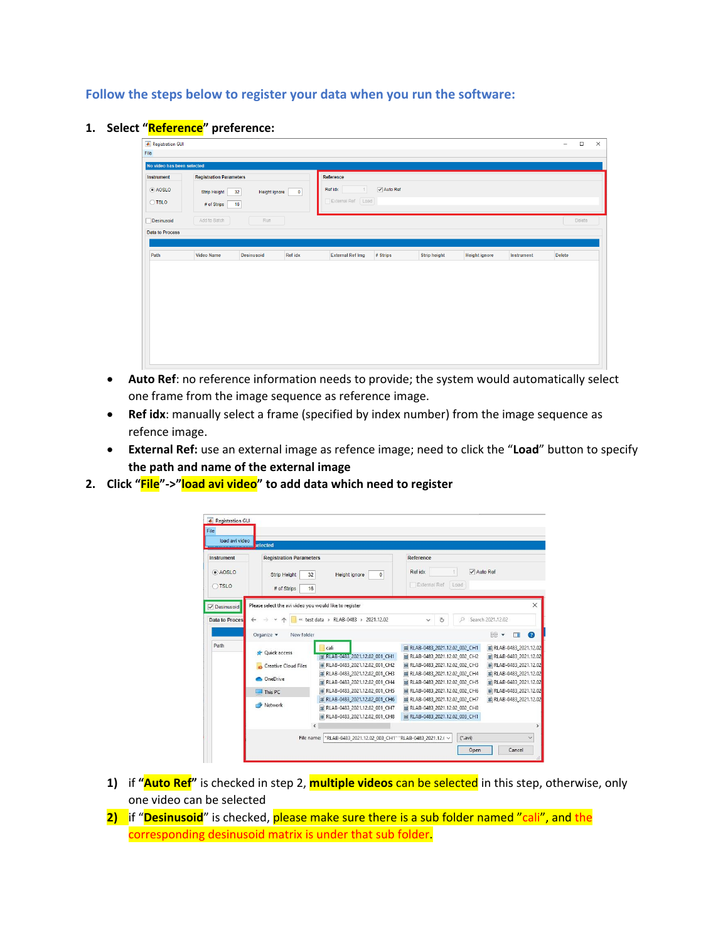# **Follow the steps below to register your data when you run the software:**

## **1. Select "Reference" preference:**

| <b>A</b> Registration GUI<br>File        |                                                                  |                     |         |                                                  |                     |                     |                      |            | $\overline{\phantom{m}}$ | $\Box$ | $\times$ |
|------------------------------------------|------------------------------------------------------------------|---------------------|---------|--------------------------------------------------|---------------------|---------------------|----------------------|------------|--------------------------|--------|----------|
| No video has been selected               |                                                                  |                     |         |                                                  |                     |                     |                      |            |                          |        |          |
| Instrument<br>a AOSLO<br>$\bigcirc$ TSLO | <b>Registration Parameters</b><br>Strip Height<br># of Strips 16 | 32<br>Height ignore | 0       | Reference<br>1<br>Ref ldx<br>External Ref   Load | $\sqrt{ }$ Auto Ref |                     |                      |            |                          |        |          |
| Desinusoid                               | Add to Batch                                                     | Run                 |         |                                                  |                     |                     |                      |            |                          | Delete |          |
| <b>Data to Process</b><br>Path           | Video Name                                                       | <b>Desinusoid</b>   | Ref idx | <b>External Ref Img</b>                          | # Strips            | <b>Strip height</b> | <b>Height ignore</b> | Instrument | Delete                   |        |          |
|                                          |                                                                  |                     |         |                                                  |                     |                     |                      |            |                          |        |          |
|                                          |                                                                  |                     |         |                                                  |                     |                     |                      |            |                          |        |          |
|                                          |                                                                  |                     |         |                                                  |                     |                     |                      |            |                          |        |          |
|                                          |                                                                  |                     |         |                                                  |                     |                     |                      |            |                          |        |          |
|                                          |                                                                  |                     |         |                                                  |                     |                     |                      |            |                          |        |          |

- **Auto Ref**: no reference information needs to provide; the system would automatically select one frame from the image sequence as reference image.
- **Ref idx**: manually select a frame (specified by index number) from the image sequence as refence image.
- **External Ref:** use an external image as refence image; need to click the "**Load**" button to specify **the path and name of the external image**
- **2. Click "File"->"load avi video" to add data which need to register**

|                                     | <b>selected</b>                                                        |                                                                                |                                                                    |                                                         |  |
|-------------------------------------|------------------------------------------------------------------------|--------------------------------------------------------------------------------|--------------------------------------------------------------------|---------------------------------------------------------|--|
| Instrument                          | <b>Registration Parameters</b>                                         |                                                                                | Reference                                                          |                                                         |  |
| a AOSLO<br><b>OTSLO</b>             | <b>Strip Height</b><br>32<br>16<br># of Strips                         | <b>Height ignore</b><br>$\bf{0}$                                               | Ref idx<br>External Ref<br>Load                                    | √ Auto Ref                                              |  |
| Desinusoid<br><b>Data to Proces</b> | Please select the avi video you would like to register<br>$\leftarrow$ | « test data > RLAB-0483 > 2021.12.02                                           | $\circ$<br>Ö<br>$\checkmark$                                       | Search 2021.12.02                                       |  |
|                                     | Organize v<br>New folder                                               |                                                                                |                                                                    | 腓 →<br>$\bullet$<br>п                                   |  |
| Path                                | Ouick access                                                           | cali<br>RLAB-0483 2021.12.02 001 CH1                                           | ■ RLAB-0483 2021.12.02 002 CH1<br>E RLAB-0483 2021.12.02 002 CH2   | III RLAB-0483 2021.12.02<br>图 RLAB-0483 2021.12.02      |  |
|                                     | Creative Cloud Files                                                   | III RLAB-0483_2021.12.02_001_CH2<br>III RLAB-0483 2021.12.02 001 CH3           | E RLAB-0483_2021.12.02_002_CH3<br>E RLAB-0483 2021.12.02 002 CH4   | <b>■ RLAB-0483_2021.12.02</b><br>图 RLAB-0483_2021.12.02 |  |
|                                     | <b>OneDrive</b>                                                        | <b>■ RLAB-0483 2021.12.02 001 CH4</b>                                          | E RLAB-0483 2021.12.02 002 CH5                                     | <b>■ RLAB-0483 2021.12.02</b>                           |  |
|                                     | $\Box$ This PC                                                         | III RLAB-0483_2021.12.02_001_CH5<br>■ RLAB-0483_2021.12.02_001_CH6             | ■ RLAB-0483_2021.12.02_002_CH6<br>III RLAB-0483_2021.12.02_002_CH7 | E RLAB-0483 2021.12.02                                  |  |
|                                     | Network                                                                | <b>■ RLAB-0483 2021.12.02 001 CH7</b><br><b>■ RLAB-0483 2021.12.02 001 CH8</b> | M RLAB-0483 2021.12.02 002 CH8<br>■ RLAB-0483 2021.12.02 003 CH1   | 图 RLAB-0483_2021.12.02                                  |  |
|                                     |                                                                        |                                                                                |                                                                    |                                                         |  |

- **1)** if **"Auto Ref"** is checked in step 2, **multiple videos** can be selected in this step, otherwise, only one video can be selected
- **2)** if "**Desinusoid**" is checked, please make sure there is a sub folder named "cali", and the corresponding desinusoid matrix is under that sub folder.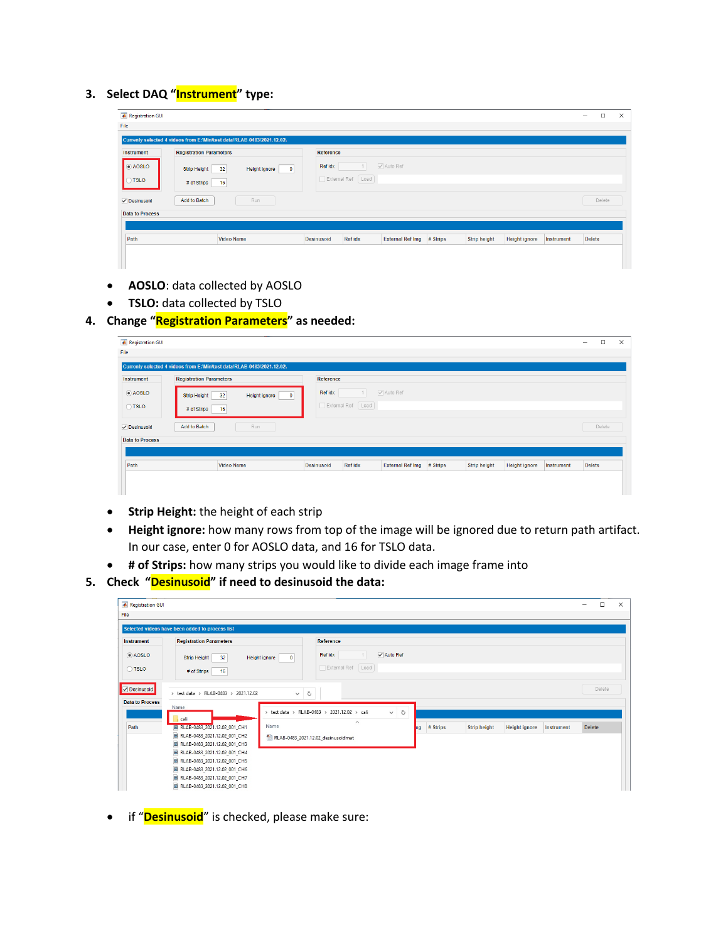# **3. Select DAQ "Instrument" type:**

| <b>A</b> Registration GUI |                                                                        |                       |                |                         |          |                     |                      |            | $\overline{\phantom{a}}$ | $\Box$ |
|---------------------------|------------------------------------------------------------------------|-----------------------|----------------|-------------------------|----------|---------------------|----------------------|------------|--------------------------|--------|
| File                      |                                                                        |                       |                |                         |          |                     |                      |            |                          |        |
|                           | Currenly selected 4 videos from E:\Min\test data\RLAB-0483\2021.12.02\ |                       |                |                         |          |                     |                      |            |                          |        |
| Instrument                | <b>Registration Parameters</b><br>Reference                            |                       |                |                         |          |                     |                      |            |                          |        |
| $\odot$ AOSLO             | Strip Height<br>32<br>Height ignore<br>$\bullet$                       | √ Auto Ref<br>Ref idx |                |                         |          |                     |                      |            |                          |        |
| TSLO                      | # of Strips<br>16                                                      | External Ref [ Load ] |                |                         |          |                     |                      |            |                          |        |
| √ Desinusoid              | Run<br>Add to Batch                                                    |                       |                |                         |          |                     |                      |            |                          | Delete |
| <b>Data to Process</b>    |                                                                        |                       |                |                         |          |                     |                      |            |                          |        |
|                           |                                                                        |                       |                |                         |          |                     |                      |            |                          |        |
| Path                      | <b>Video Name</b>                                                      | <b>Desinusoid</b>     | <b>Ref idx</b> | <b>External Ref Img</b> | # Strips | <b>Strip height</b> | <b>Height ignore</b> | Instrument | Delete                   |        |

- **AOSLO**: data collected by AOSLO
- **TSLO:** data collected by TSLO
- **4. Change "Registration Parameters" as needed:**

| <b>A</b> Registration GUI |                                                                        |                   |         |                         |          |                     |                      |            | $\overline{\phantom{a}}$ | $\Box$ | $\times$ |
|---------------------------|------------------------------------------------------------------------|-------------------|---------|-------------------------|----------|---------------------|----------------------|------------|--------------------------|--------|----------|
| File                      |                                                                        |                   |         |                         |          |                     |                      |            |                          |        |          |
|                           | Currenly selected 4 videos from E:\Min\test data\RLAB-0483\2021.12.02\ |                   |         |                         |          |                     |                      |            |                          |        |          |
| Instrument                | <b>Registration Parameters</b>                                         | Reference         |         |                         |          |                     |                      |            |                          |        |          |
| $\odot$ AOSLO             | 32<br>Height ignore<br>Strip Height<br>$\mathbf 0$                     | Ref idx           |         | √ Auto Ref              |          |                     |                      |            |                          |        |          |
| $\bigcirc$ TSLO           | # of Strips<br>16                                                      | External Ref      | Load    |                         |          |                     |                      |            |                          |        |          |
| Oesinusoid                | Add to Batch<br>Run                                                    |                   |         |                         |          |                     |                      |            |                          | Delete |          |
| <b>Data to Process</b>    |                                                                        |                   |         |                         |          |                     |                      |            |                          |        |          |
|                           |                                                                        |                   |         |                         |          |                     |                      |            |                          |        |          |
| Path                      | <b>Video Name</b>                                                      | <b>Desinusoid</b> | Ref idx | <b>External Ref Img</b> | # Strips | <b>Strip height</b> | <b>Height ignore</b> | Instrument | Delete                   |        |          |
|                           |                                                                        |                   |         |                         |          |                     |                      |            |                          |        |          |
|                           |                                                                        |                   |         |                         |          |                     |                      |            |                          |        |          |

- **Strip Height:** the height of each strip
- **Height ignore:** how many rows from top of the image will be ignored due to return path artifact. In our case, enter 0 for AOSLO data, and 16 for TSLO data.
- **# of Strips:** how many strips you would like to divide each image frame into
- **5. Check "Desinusoid" if need to desinusoid the data:**

| <b>A</b> Registration GUI |                                                                  |                                                                                                        | $\times$<br>$\Box$<br>- |
|---------------------------|------------------------------------------------------------------|--------------------------------------------------------------------------------------------------------|-------------------------|
| File                      |                                                                  |                                                                                                        |                         |
|                           | Selected videos have been added to process list                  |                                                                                                        |                         |
| <b>Instrument</b>         | <b>Registration Parameters</b>                                   | Reference                                                                                              |                         |
| a AOSLO                   | 32<br>Height ignore<br><b>Strip Height</b>                       | $\sqrt{}$ Auto Ref<br>Ref idx<br>$\bullet$                                                             |                         |
| $\bigcirc$ TSLO           | 16<br># of Strips                                                | External Ref   Load                                                                                    |                         |
| Desinusoid                | > test data > RLAB-0483 > 2021.12.02                             | $\circlearrowright$<br>$\checkmark$                                                                    | Delete                  |
| <b>Data to Process</b>    | Name                                                             | > test data > RLAB-0483 > 2021.12.02 > cali<br>$\checkmark$<br>Ö                                       |                         |
| Path                      | cali<br>B RLAB-0483_2021.12.02_001_CH1                           | $\wedge$<br>Name<br><b>Strip height</b><br># Strips<br><b>Height ignore</b><br><b>Instrument</b><br>ha | <b>Delete</b>           |
|                           | 图 RLAB-0483_2021.12.02_001_CH2<br>■ RLAB-0483_2021.12.02_001_CH3 | RLAB-0483_2021.12.02_desinusoidmat                                                                     |                         |
|                           | 图 RLAB-0483_2021.12.02_001_CH4                                   |                                                                                                        |                         |
|                           | III RLAB-0483_2021.12.02_001_CH5                                 |                                                                                                        |                         |
|                           | 图 RLAB-0483_2021.12.02_001_CH6                                   |                                                                                                        |                         |
|                           | E RLAB-0483_2021.12.02_001_CH7<br>图 RLAB-0483_2021.12.02_001_CH8 |                                                                                                        |                         |

• if "**Desinusoid**" is checked, please make sure: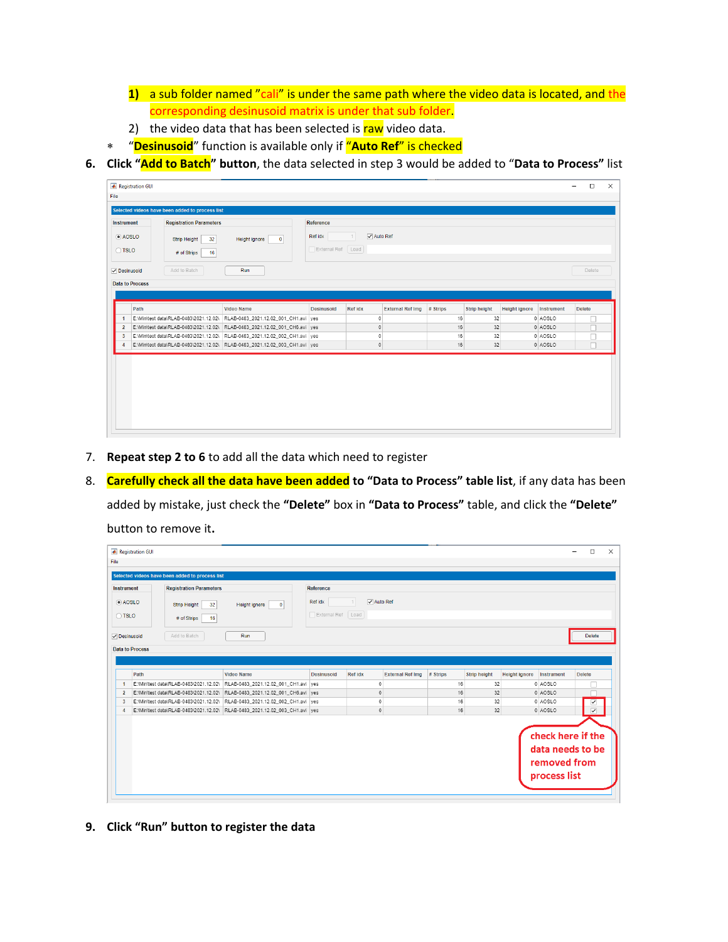- **1)** a sub folder named "cali" is under the same path where the video data is located, and the corresponding desinusoid matrix is under that sub folder.
- 2) the video data that has been selected is raw video data.
- "**Desinusoid**" function is available only if "**Auto Ref**" is checked
- **6. Click "Add to Batch" button**, the data selected in step 3 would be added to "**Data to Process"** list

| File                    | <b>A</b> Registration GUI |                                                 |                                                                             |                              |                         |                         |          |                     |                      |            | $\Box$<br>- | $\times$ |
|-------------------------|---------------------------|-------------------------------------------------|-----------------------------------------------------------------------------|------------------------------|-------------------------|-------------------------|----------|---------------------|----------------------|------------|-------------|----------|
|                         |                           | Selected videos have been added to process list |                                                                             |                              |                         |                         |          |                     |                      |            |             |          |
| <b>Instrument</b>       |                           | <b>Registration Parameters</b>                  |                                                                             | Reference                    |                         |                         |          |                     |                      |            |             |          |
| $\odot$ AOSLO<br>O TSLO |                           | Strip Height<br>32<br># of Strips<br>16         | Height ignore<br>$\overline{0}$                                             | Ref idx<br>External Ref Load | $\sqrt{}$ Auto Ref<br>1 |                         |          |                     |                      |            |             |          |
| Desinusoid              | <b>Data to Process</b>    | Add to Batch                                    | Run                                                                         |                              |                         |                         |          |                     |                      |            | Delete      |          |
|                         | Path                      |                                                 | <b>Video Name</b>                                                           | <b>Desinusoid</b>            | Ref idx                 | <b>External Ref Img</b> | # Strips | <b>Strip height</b> | <b>Height ignore</b> | Instrument | Delete      |          |
|                         |                           |                                                 | E:\Min\test data\RLAB-0483\2021.12.02\ RLAB-0483_2021.12.02_001_CH1.avi yes |                              | $\mathbf 0$             |                         | 16       | 32                  |                      | 0 AOSLO    |             |          |
| $\overline{2}$          |                           |                                                 | E:\Min\test data\RLAB-0483\2021.12.02\ RLAB-0483_2021.12.02_001_CH6.avi yes |                              | $\mathbb O$             |                         | 16       | 32                  |                      | 0 AOSLO    |             |          |
| $\overline{\mathbf{3}}$ |                           |                                                 | E:\Min\test data\RLAB-0483\2021.12.02\ RLAB-0483_2021.12.02_002_CH1.avi yes |                              | $\theta$                |                         | 16       | 32                  |                      | 0 AOSLO    |             |          |
| A                       |                           |                                                 | E:\Min\test data\RLAB-0483\2021.12.02\ RLAB-0483_2021.12.02_003_CH1.avi yes |                              | $\mathbf{0}$            |                         | 16       | 32                  |                      | 0 AOSLO    |             |          |
|                         |                           |                                                 |                                                                             |                              |                         |                         |          |                     |                      |            |             |          |

- 7. **Repeat step 2 to 6** to add all the data which need to register
- 8. **Carefully check all the data have been added to "Data to Process" table list**, if any data has been added by mistake, just check the **"Delete"** box in **"Data to Process"** table, and click the **"Delete"**  button to remove it**.**

|                     | <b>A</b> Registration GUI                          |                                                 |                                                                             |                   |                    |                         |          |                     |                                    | $\Box$<br>$\times$ |
|---------------------|----------------------------------------------------|-------------------------------------------------|-----------------------------------------------------------------------------|-------------------|--------------------|-------------------------|----------|---------------------|------------------------------------|--------------------|
| File                |                                                    |                                                 |                                                                             |                   |                    |                         |          |                     |                                    |                    |
|                     |                                                    | Selected videos have been added to process list |                                                                             |                   |                    |                         |          |                     |                                    |                    |
| <b>Instrument</b>   |                                                    | <b>Registration Parameters</b>                  |                                                                             | Reference         |                    |                         |          |                     |                                    |                    |
| a AOSLO             |                                                    | <b>Strip Height</b><br>32                       | Height ignore<br>$\overline{0}$                                             | Ref idx           | $\sqrt{}$ Auto Ref |                         |          |                     |                                    |                    |
|                     | External Ref   Load<br>O TSLO<br>16<br># of Strips |                                                 |                                                                             |                   |                    |                         |          |                     |                                    |                    |
| <b>√</b> Desinusoid |                                                    | Add to Batch                                    | Run                                                                         |                   |                    |                         |          |                     |                                    | <b>Delete</b>      |
|                     | <b>Data to Process</b>                             |                                                 |                                                                             |                   |                    |                         |          |                     |                                    |                    |
|                     |                                                    |                                                 |                                                                             |                   |                    |                         |          |                     |                                    |                    |
|                     | Path                                               |                                                 | <b>Video Name</b>                                                           | <b>Desinusoid</b> | <b>Ref</b> idx     | <b>External Ref Img</b> | # Strips | <b>Strip height</b> | <b>Height ignore</b><br>Instrument | <b>Delete</b>      |
|                     |                                                    |                                                 |                                                                             |                   |                    |                         |          |                     |                                    |                    |
| $\mathbf{1}$        |                                                    |                                                 | E:\Min\test data\RLAB-0483\2021.12.02\ RLAB-0483_2021.12.02_001_CH1.avi yes |                   | O                  |                         | 16       | 32                  | 0 AOSLO                            |                    |
| $\overline{2}$      |                                                    |                                                 | E:\Min\test data\RLAB-0483\2021.12.02\ RLAB-0483_2021.12.02_001_CH6.avi yes |                   | $\Omega$           |                         | 16       | 32                  | 0 AOSLO                            |                    |
| $\overline{3}$      |                                                    |                                                 | E:\Min\test data\RLAB-0483\2021.12.02\ RLAB-0483 2021.12.02 002 CH1.avi yes |                   | 0                  |                         | 16       | 32                  | 0 AOSLO                            | ✓                  |
| $\overline{4}$      |                                                    |                                                 | E:\Min\test data\RLAB-0483\2021.12.02\ RLAB-0483_2021.12.02_003_CH1.avi yes |                   | $\overline{0}$     |                         | 16       | 32                  | 0 AOSLO                            | $\triangledown$    |

**9. Click "Run" button to register the data**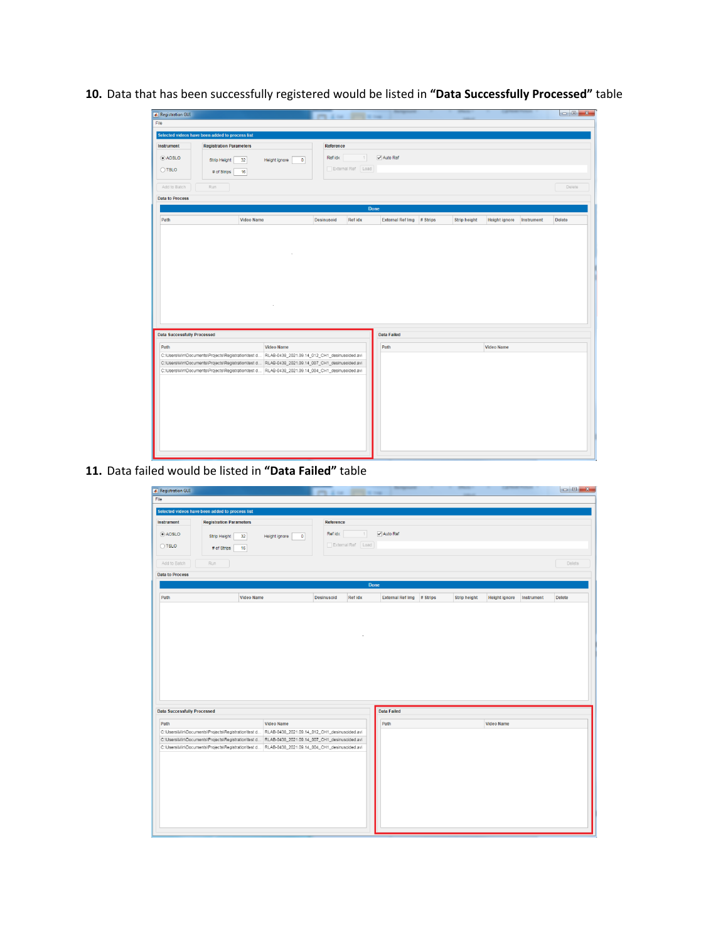**10.** Data that has been successfully registered would be listed in **"Data Successfully Processed"** table

| Registration GUI                                                          | Phillips Street                               |                                     |                                                           |               |
|---------------------------------------------------------------------------|-----------------------------------------------|-------------------------------------|-----------------------------------------------------------|---------------|
| File                                                                      |                                               |                                     |                                                           |               |
| Selected videos have been added to process list                           |                                               |                                     |                                                           |               |
| <b>Registration Parameters</b><br>Instrument                              | Reference                                     |                                     |                                                           |               |
|                                                                           |                                               |                                     |                                                           |               |
| O AOSLO<br>32<br>Height ignore<br>$\mathbf 0$<br>Strip Height             | Ref idx<br>1 <sup>1</sup>                     | $\sqrt{ }$ Auto Ref                 |                                                           |               |
| $\bigcirc$ TSLO<br># of Strips<br>16                                      | External Ref   Load                           |                                     |                                                           |               |
| Add to Batch<br>Run                                                       |                                               |                                     |                                                           | Delete        |
| <b>Data to Process</b>                                                    |                                               |                                     |                                                           |               |
|                                                                           | <b>Done</b>                                   |                                     |                                                           |               |
| Path<br><b>Video Name</b>                                                 | Desinusoid<br>Ref idx                         | <b>External Ref Img</b><br># Strips | <b>Strip height</b><br><b>Height ignore</b><br>Instrument | <b>Delete</b> |
|                                                                           |                                               |                                     |                                                           |               |
|                                                                           |                                               |                                     |                                                           |               |
| <b>Data Successfully Processed</b>                                        |                                               | <b>Data Failed</b>                  |                                                           |               |
|                                                                           |                                               |                                     |                                                           |               |
| Path<br>Video Name<br>C:\Users\Min\Documents\Projects\Registration\test d | RLAB-0438_2021.09.14_012_CH1_desinusoided.avi | Path                                | Video Name                                                |               |
| C:\Users\Min\Documents\Projects\Registration\test d                       | RLAB-0438_2021.09.14_007_CH1_desinusoided.avi |                                     |                                                           |               |
| C:\Users\Min\Documents\Projects\Registration\test d                       | RLAB-0438_2021.09.14_004_CH1_desinusoided.avi |                                     |                                                           |               |

**11.** Data failed would be listed in **"Data Failed"** table

| <b>A</b> Registration GUI          |                                                                                                                                                                                                        |                            | $200 - 25$ and $200 - 25$ | <b>Service of the </b> |                         |          |                     |                      |            |               |
|------------------------------------|--------------------------------------------------------------------------------------------------------------------------------------------------------------------------------------------------------|----------------------------|---------------------------|------------------------|-------------------------|----------|---------------------|----------------------|------------|---------------|
| File                               |                                                                                                                                                                                                        |                            |                           |                        |                         |          |                     |                      |            |               |
|                                    | Selected videos have been added to process list                                                                                                                                                        |                            |                           |                        |                         |          |                     |                      |            |               |
| <b>Instrument</b>                  | <b>Registration Parameters</b>                                                                                                                                                                         |                            | Reference                 |                        |                         |          |                     |                      |            |               |
| a AOSLO                            | Strip Height<br>32                                                                                                                                                                                     | Height ignore<br>$\bullet$ | Ref idx                   | 11                     | $\sqrt{ }$ Auto Ref     |          |                     |                      |            |               |
| $\bigcirc$ TSLO                    |                                                                                                                                                                                                        |                            |                           | External Ref [ Load ]  |                         |          |                     |                      |            |               |
|                                    | # of Strips<br>16                                                                                                                                                                                      |                            |                           |                        |                         |          |                     |                      |            |               |
| Add to Batch                       | Run                                                                                                                                                                                                    |                            |                           |                        |                         |          |                     |                      |            | Delete        |
| <b>Data to Process</b>             |                                                                                                                                                                                                        |                            |                           |                        |                         |          |                     |                      |            |               |
|                                    |                                                                                                                                                                                                        |                            |                           |                        | <b>Done</b>             |          |                     |                      |            |               |
| Path                               | <b>Video Name</b>                                                                                                                                                                                      |                            | <b>Desinusoid</b>         | Ref idx                | <b>External Ref Img</b> | # Strips | <b>Strip height</b> | <b>Height ignore</b> | Instrument | <b>Delete</b> |
|                                    |                                                                                                                                                                                                        |                            |                           |                        |                         |          |                     |                      |            |               |
|                                    |                                                                                                                                                                                                        |                            |                           |                        |                         |          |                     |                      |            |               |
|                                    |                                                                                                                                                                                                        |                            |                           |                        |                         |          |                     |                      |            |               |
|                                    |                                                                                                                                                                                                        |                            |                           |                        |                         |          |                     |                      |            |               |
| <b>Data Successfully Processed</b> |                                                                                                                                                                                                        |                            |                           |                        | <b>Data Failed</b>      |          |                     |                      |            |               |
|                                    |                                                                                                                                                                                                        |                            |                           |                        |                         |          |                     |                      |            |               |
| Path                               |                                                                                                                                                                                                        | <b>Video Name</b>          |                           |                        | Path                    |          |                     | Video Name           |            |               |
|                                    | C:\Users\Min\Documents\Projects\Registration\test d RLAB-0438_2021.09.14_012_CH1_desinusoided.avi<br>C:\Users\Min\Documents\Projects\Registration\test d RLAB-0438_2021.09.14_007_CH1_desinusoided.avi |                            |                           |                        |                         |          |                     |                      |            |               |
|                                    | C:\Users\Min\Documents\Projects\Registration\test d RLAB-0438_2021.09.14_004_CH1_desinusoided.avi                                                                                                      |                            |                           |                        |                         |          |                     |                      |            |               |
|                                    |                                                                                                                                                                                                        |                            |                           |                        |                         |          |                     |                      |            |               |
|                                    |                                                                                                                                                                                                        |                            |                           |                        |                         |          |                     |                      |            |               |
|                                    |                                                                                                                                                                                                        |                            |                           |                        |                         |          |                     |                      |            |               |
|                                    |                                                                                                                                                                                                        |                            |                           |                        |                         |          |                     |                      |            |               |
|                                    |                                                                                                                                                                                                        |                            |                           |                        |                         |          |                     |                      |            |               |
|                                    |                                                                                                                                                                                                        |                            |                           |                        |                         |          |                     |                      |            |               |
|                                    |                                                                                                                                                                                                        |                            |                           |                        |                         |          |                     |                      |            |               |
|                                    |                                                                                                                                                                                                        |                            |                           |                        |                         |          |                     |                      |            |               |
|                                    |                                                                                                                                                                                                        |                            |                           |                        |                         |          |                     |                      |            |               |